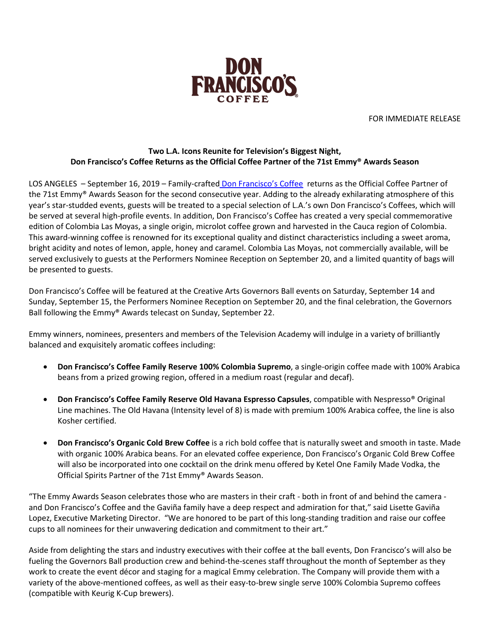

FOR IMMEDIATE RELEASE

## **Two L.A. Icons Reunite for Television's Biggest Night, Don Francisco's Coffee Returns as the Official Coffee Partner of the 71st Emmy® Awards Season**

LOS ANGELES – September 16, 2019 – Family-crafte[d](http://www.donfranciscos.com/) [Don Francisco's Coffee](http://www.donfranciscos.com/) returns as the Official Coffee Partner of the 71st Emmy® Awards Season for the second consecutive year. Adding to the already exhilarating atmosphere of this year's star-studded events, guests will be treated to a special selection of L.A.'s own Don Francisco's Coffees, which will be served at several high-profile events. In addition, Don Francisco's Coffee has created a very special commemorative edition of Colombia Las Moyas, a single origin, microlot coffee grown and harvested in the Cauca region of Colombia. This award-winning coffee is renowned for its exceptional quality and distinct characteristics including a sweet aroma, bright acidity and notes of lemon, apple, honey and caramel. Colombia Las Moyas, not commercially available, will be served exclusively to guests at the Performers Nominee Reception on September 20, and a limited quantity of bags will be presented to guests.

Don Francisco's Coffee will be featured at the Creative Arts Governors Ball events on Saturday, September 14 and Sunday, September 15, the Performers Nominee Reception on September 20, and the final celebration, the Governors Ball following the Emmy® Awards telecast on Sunday, September 22.

Emmy winners, nominees, presenters and members of the Television Academy will indulge in a variety of brilliantly balanced and exquisitely aromatic coffees including:

- **Don Francisco's Coffee Family Reserve 100% Colombia Supremo**, a single-origin coffee made with 100% Arabica beans from a prized growing region, offered in a medium roast (regular and decaf).
- **Don Francisco's Coffee Family Reserve Old Havana Espresso Capsules**, compatible with Nespresso® Original Line machines. The Old Havana (Intensity level of 8) is made with premium 100% Arabica coffee, the line is also Kosher certified.
- **Don Francisco's Organic Cold Brew Coffee** is a rich bold coffee that is naturally sweet and smooth in taste. Made with organic 100% Arabica beans. For an elevated coffee experience, Don Francisco's Organic Cold Brew Coffee will also be incorporated into one cocktail on the drink menu offered by Ketel One Family Made Vodka, the Official Spirits Partner of the 71st Emmy® Awards Season.

"The Emmy Awards Season celebrates those who are masters in their craft - both in front of and behind the camera and Don Francisco's Coffee and the Gaviña family have a deep respect and admiration for that," said Lisette Gaviña Lopez, Executive Marketing Director. "We are honored to be part of this long-standing tradition and raise our coffee cups to all nominees for their unwavering dedication and commitment to their art."

Aside from delighting the stars and industry executives with their coffee at the ball events, Don Francisco's will also be fueling the Governors Ball production crew and behind-the-scenes staff throughout the month of September as they work to create the event décor and staging for a magical Emmy celebration. The Company will provide them with a variety of the above-mentioned coffees, as well as their easy-to-brew single serve 100% Colombia Supremo coffees (compatible with Keurig K-Cup brewers).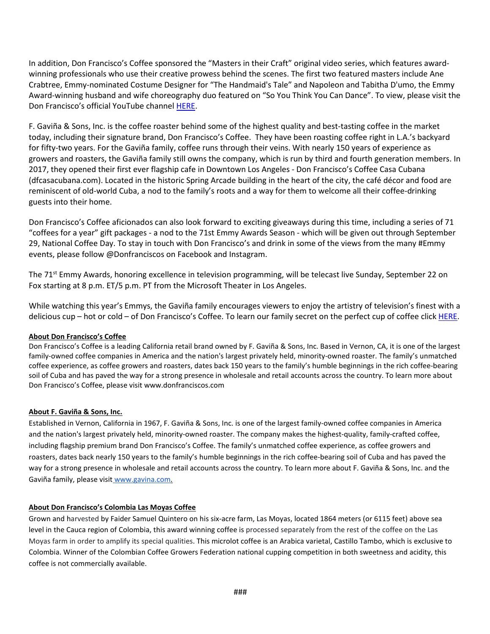In addition, Don Francisco's Coffee sponsored the "Masters in their Craft" original video series, which features awardwinning professionals who use their creative prowess behind the scenes. The first two featured masters include Ane Crabtree, Emmy-nominated Costume Designer for "The Handmaid's Tale" and Napoleon and Tabitha D'umo, the Emmy Award-winning husband and wife choreography duo featured on "So You Think You Can Dance". To view, please visit the Don Francisco's official YouTube channel [HERE.](https://youtu.be/HAlA8A3sk0U)

F. Gaviña & Sons, Inc. is the coffee roaster behind some of the highest quality and best-tasting coffee in the market today, including their signature brand, Don Francisco's Coffee. They have been roasting coffee right in L.A.'s backyard for fifty-two years. For the Gaviña family, coffee runs through their veins. With nearly 150 years of experience as growers and roasters, the Gaviña family still owns the company, which is run by third and fourth generation members. In 2017, they opened their first ever flagship cafe in Downtown Los Angeles - Don Francisco's Coffee Casa Cubana (dfcasacubana.com). Located in the historic Spring Arcade building in the heart of the city, the café décor and food are reminiscent of old-world Cuba, a nod to the family's roots and a way for them to welcome all their coffee-drinking guests into their home.

Don Francisco's Coffee aficionados can also look forward to exciting giveaways during this time, including a series of 71 "coffees for a year" gift packages - a nod to the 71st Emmy Awards Season - which will be given out through September 29, National Coffee Day. To stay in touch with Don Francisco's and drink in some of the views from the many #Emmy events, please follow @Donfranciscos on Facebook and Instagram.

The 71<sup>st</sup> Emmy Awards, honoring excellence in television programming, will be telecast live Sunday, September 22 on Fox starting at 8 p.m. ET/5 p.m. PT from the Microsoft Theater in Los Angeles.

While watching this year's Emmys, the Gaviña family encourages viewers to enjoy the artistry of television's finest with a delicious cup – hot or cold – of Don Francisco's Coffee. To learn our family secret on the perfect cup of coffee click [HERE.](https://www.donfranciscos.com/perk-up/don-franciscos-family-secret-perfect-cup-of-coffee/)

## **About Don Francisco's Coffee**

Don Francisco's Coffee is a leading California retail brand owned by F. Gaviña & Sons, Inc. Based in Vernon, CA, it is one of the largest family-owned coffee companies in America and the nation's largest privately held, minority-owned roaster. The family's unmatched coffee experience, as coffee growers and roasters, dates back 150 years to the family's humble beginnings in the rich coffee-bearing soil of Cuba and has paved the way for a strong presence in wholesale and retail accounts across the country. To learn more about Don Francisco's Coffee, please visit www.donfranciscos.com

## **About F. Gaviña & Sons, Inc.**

Established in Vernon, California in 1967, F. Gaviña & Sons, Inc. is one of the largest family-owned coffee companies in America and the nation's largest privately held, minority-owned roaster. The company makes the highest-quality, family-crafted coffee, including flagship premium brand Don Francisco's Coffee. The family's unmatched coffee experience, as coffee growers and roasters, dates back nearly 150 years to the family's humble beginnings in the rich coffee-bearing soil of Cuba and has paved the way for a strong presence in wholesale and retail accounts across the country. To learn more about F. Gaviña & Sons, Inc. and the Gaviña family, please visi[t](http://www.gavina.com/) [www.gavina.com.](http://www.gavina.com/)

## **About Don Francisco's Colombia Las Moyas Coffee**

Grown and harvested by Faider Samuel Quintero on his six-acre farm, Las Moyas, located 1864 meters (or 6115 feet) above sea level in the Cauca region of Colombia, this award winning coffee is processed separately from the rest of the coffee on the Las Moyas farm in order to amplify its special qualities. This microlot coffee is an Arabica varietal, Castillo Tambo, which is exclusive to Colombia. Winner of the Colombian Coffee Growers Federation national cupping competition in both sweetness and acidity, this coffee is not commercially available.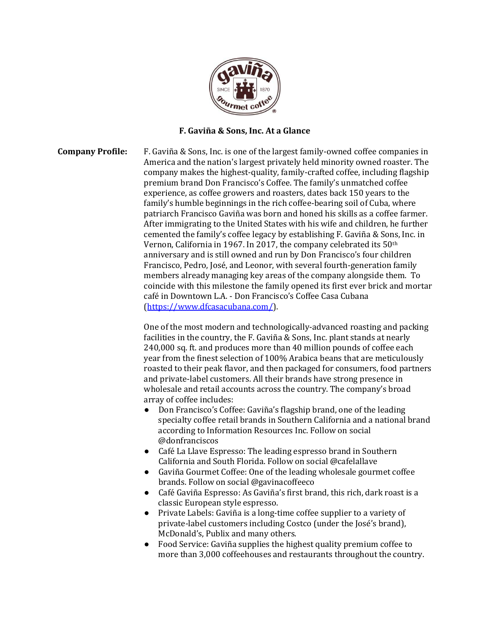

## **F. Gaviña & Sons, Inc. At a Glance**

**Company Profile:** F. Gaviña & Sons, Inc. is one of the largest family-owned coffee companies in America and the nation's largest privately held minority owned roaster. The company makes the highest-quality, family-crafted coffee, including flagship premium brand Don Francisco's Coffee. The family's unmatched coffee experience, as coffee growers and roasters, dates back 150 years to the family's humble beginnings in the rich coffee-bearing soil of Cuba, where patriarch Francisco Gaviña was born and honed his skills as a coffee farmer. After immigrating to the United States with his wife and children, he further cemented the family's coffee legacy by establishing F. Gaviña & Sons, Inc. in Vernon, California in 1967. In 2017, the company celebrated its 50th anniversary and is still owned and run by Don Francisco's four children Francisco, Pedro, José, and Leonor, with several fourth-generation family members already managing key areas of the company alongside them. To coincide with this milestone the family opened its first ever brick and mortar café in Downtown L.A. - Don Francisco's Coffee Casa Cubana [\(https://www.dfcasacubana.com/\)](https://www.dfcasacubana.com/).

> One of the most modern and technologically-advanced roasting and packing facilities in the country, the F. Gaviña & Sons, Inc. plant stands at nearly 240,000 sq. ft. and produces more than 40 million pounds of coffee each year from the finest selection of 100% Arabica beans that are meticulously roasted to their peak flavor, and then packaged for consumers, food partners and private-label customers. All their brands have strong presence in wholesale and retail accounts across the country. The company's broad array of coffee includes:

- Don Francisco's Coffee: Gaviña's flagship brand, one of the leading specialty coffee retail brands in Southern California and a national brand according to Information Resources Inc. Follow on social @donfranciscos
- Café La Llave Espresso: The leading espresso brand in Southern California and South Florida. Follow on social @cafelallave
- Gaviña Gourmet Coffee: One of the leading wholesale gourmet coffee brands. Follow on social @gavinacoffeeco
- Café Gaviña Espresso: As Gaviña's first brand, this rich, dark roast is a classic European style espresso.
- Private Labels: Gaviña is a long-time coffee supplier to a variety of private-label customers including Costco (under the José's brand), McDonald's, Publix and many others.
- Food Service: Gaviña supplies the highest quality premium coffee to more than 3,000 coffeehouses and restaurants throughout the country.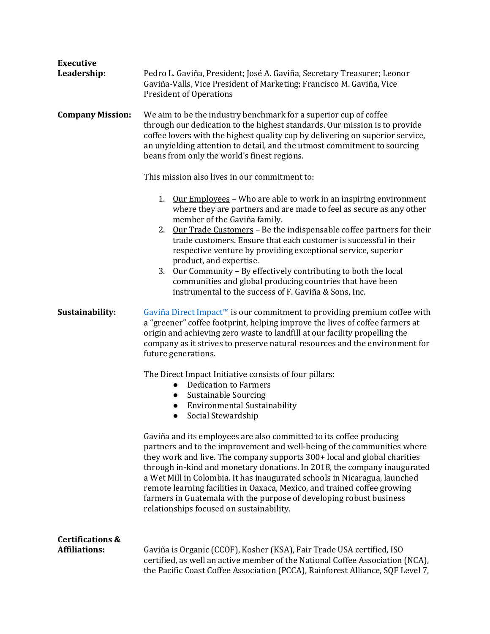| <b>Executive</b>                                    |                                                                                                                                                                                                                                                                                                                                                                                                                                                                                                                                                                                    |
|-----------------------------------------------------|------------------------------------------------------------------------------------------------------------------------------------------------------------------------------------------------------------------------------------------------------------------------------------------------------------------------------------------------------------------------------------------------------------------------------------------------------------------------------------------------------------------------------------------------------------------------------------|
| Leadership:                                         | Pedro L. Gaviña, President; José A. Gaviña, Secretary Treasurer; Leonor<br>Gaviña-Valls, Vice President of Marketing; Francisco M. Gaviña, Vice<br><b>President of Operations</b>                                                                                                                                                                                                                                                                                                                                                                                                  |
| <b>Company Mission:</b>                             | We aim to be the industry benchmark for a superior cup of coffee<br>through our dedication to the highest standards. Our mission is to provide<br>coffee lovers with the highest quality cup by delivering on superior service,<br>an unyielding attention to detail, and the utmost commitment to sourcing<br>beans from only the world's finest regions.                                                                                                                                                                                                                         |
|                                                     | This mission also lives in our commitment to:                                                                                                                                                                                                                                                                                                                                                                                                                                                                                                                                      |
|                                                     | 1. Our Employees - Who are able to work in an inspiring environment<br>where they are partners and are made to feel as secure as any other<br>member of the Gaviña family.<br>2. Our Trade Customers - Be the indispensable coffee partners for their<br>trade customers. Ensure that each customer is successful in their<br>respective venture by providing exceptional service, superior<br>product, and expertise.                                                                                                                                                             |
|                                                     | 3. Our Community - By effectively contributing to both the local<br>communities and global producing countries that have been<br>instrumental to the success of F. Gaviña & Sons, Inc.                                                                                                                                                                                                                                                                                                                                                                                             |
| Sustainability:                                     | Gaviña Direct Impact <sup>™</sup> is our commitment to providing premium coffee with<br>a "greener" coffee footprint, helping improve the lives of coffee farmers at<br>origin and achieving zero waste to landfill at our facility propelling the<br>company as it strives to preserve natural resources and the environment for<br>future generations.                                                                                                                                                                                                                           |
|                                                     | The Direct Impact Initiative consists of four pillars:<br><b>Dedication to Farmers</b><br>$\bullet$<br><b>Sustainable Sourcing</b><br>$\bullet$<br><b>Environmental Sustainability</b><br>Social Stewardship<br>$\bullet$                                                                                                                                                                                                                                                                                                                                                          |
|                                                     | Gaviña and its employees are also committed to its coffee producing<br>partners and to the improvement and well-being of the communities where<br>they work and live. The company supports 300+ local and global charities<br>through in-kind and monetary donations. In 2018, the company inaugurated<br>a Wet Mill in Colombia. It has inaugurated schools in Nicaragua, launched<br>remote learning facilities in Oaxaca, Mexico, and trained coffee growing<br>farmers in Guatemala with the purpose of developing robust business<br>relationships focused on sustainability. |
| <b>Certifications &amp;</b><br><b>Affiliations:</b> | Gaviña is Organic (CCOF), Kosher (KSA), Fair Trade USA certified, ISO<br>certified, as well an active member of the National Coffee Association (NCA),<br>the Pacific Coast Coffee Association (PCCA), Rainforest Alliance, SQF Level 7,                                                                                                                                                                                                                                                                                                                                           |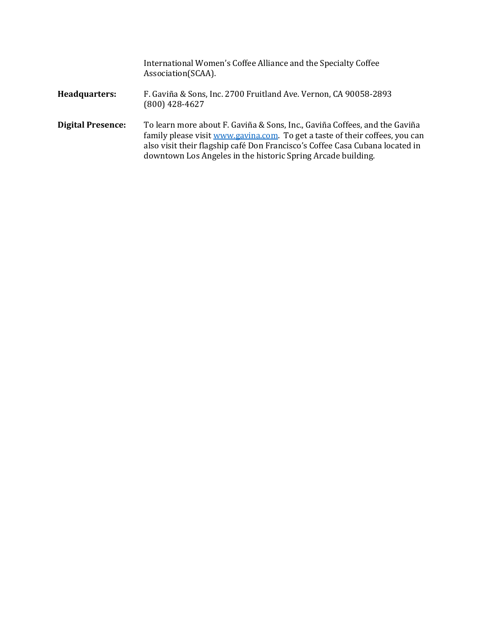|                          | International Women's Coffee Alliance and the Specialty Coffee<br>Association(SCAA).                                                                                                                                                                                                                       |
|--------------------------|------------------------------------------------------------------------------------------------------------------------------------------------------------------------------------------------------------------------------------------------------------------------------------------------------------|
| Headquarters:            | F. Gaviña & Sons, Inc. 2700 Fruitland Ave. Vernon, CA 90058-2893<br>$(800)$ 428-4627                                                                                                                                                                                                                       |
| <b>Digital Presence:</b> | To learn more about F. Gaviña & Sons, Inc., Gaviña Coffees, and the Gaviña<br>family please visit www.gavina.com. To get a taste of their coffees, you can<br>also visit their flagship café Don Francisco's Coffee Casa Cubana located in<br>downtown Los Angeles in the historic Spring Arcade building. |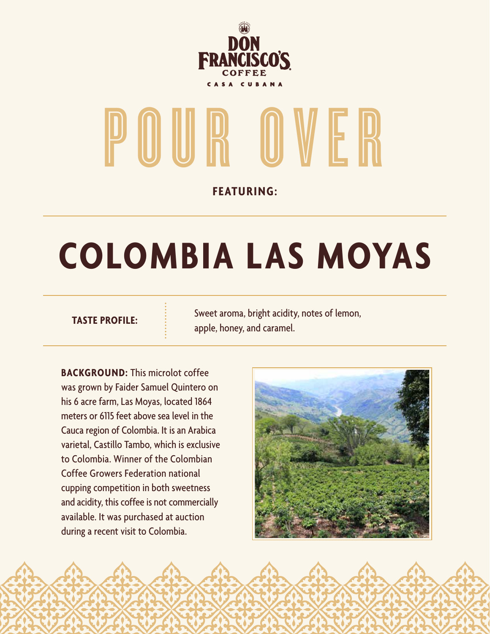

# POUR OVER

**FEATURING:**

## **COLOMBIA LAS MOYAS**

**TASTE PROFILE:** Sweet aroma, bright acidity, notes of lemon, apple, honey, and caramel.

**BACKGROUND:** This microlot coffee was grown by Faider Samuel Quintero on his 6 acre farm, Las Moyas, located 1864 meters or 6115 feet above sea level in the Cauca region of Colombia. It is an Arabica varietal, Castillo Tambo, which is exclusive to Colombia. Winner of the Colombian Coffee Growers Federation national cupping competition in both sweetness and acidity, this coffee is not commercially available. It was purchased at auction during a recent visit to Colombia.